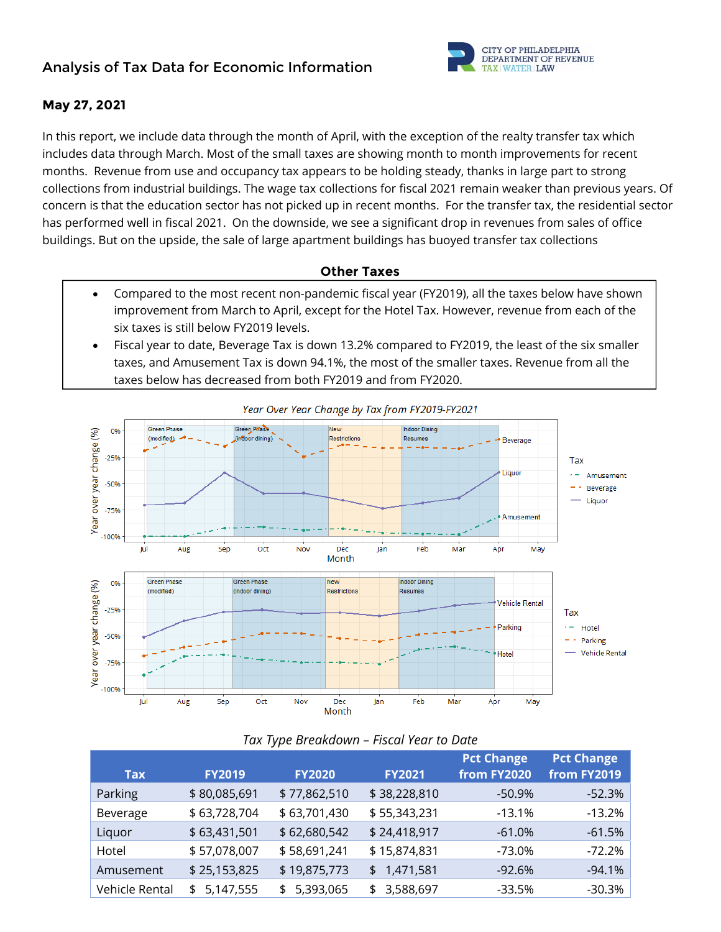# **Analysis of Tax Data for Economic Information**



### **May 27, 2021**

In this report, we include data through the month of April, with the exception of the realty transfer tax which includes data through March. Most of the small taxes are showing month to month improvements for recent months. Revenue from use and occupancy tax appears to be holding steady, thanks in large part to strong collections from industrial buildings. The wage tax collections for fiscal 2021 remain weaker than previous years. Of concern is that the education sector has not picked up in recent months. For the transfer tax, the residential sector has performed well in fiscal 2021. On the downside, we see a significant drop in revenues from sales of office buildings. But on the upside, the sale of large apartment buildings has buoyed transfer tax collections

### **Other Taxes**

- Compared to the most recent non-pandemic fiscal year (FY2019), all the taxes below have shown improvement from March to April, except for the Hotel Tax. However, revenue from each of the six taxes is still below FY2019 levels.
- Fiscal year to date, Beverage Tax is down 13.2% compared to FY2019, the least of the six smaller taxes, and Amusement Tax is down 94.1%, the most of the smaller taxes. Revenue from all the taxes below has decreased from both FY2019 and from FY2020.



| <b>Tax</b>     | <b>FY2019</b>   | <b>FY2020</b>   | <b>FY2021</b>   | <b>Pct Change</b><br>from FY2020 | Pct Change<br>from FY2019 |
|----------------|-----------------|-----------------|-----------------|----------------------------------|---------------------------|
| Parking        | \$80,085,691    | \$77,862,510    | \$38,228,810    | $-50.9%$                         | $-52.3%$                  |
| Beverage       | \$63,728,704    | \$63,701,430    | \$55,343,231    | $-13.1%$                         | $-13.2%$                  |
| Liquor         | \$63,431,501    | \$62,680,542    | \$24,418,917    | $-61.0%$                         | $-61.5%$                  |
| Hotel          | \$57,078,007    | \$58,691,241    | \$15,874,831    | -73.0%                           | $-72.2%$                  |
| Amusement      | \$25,153,825    | \$19,875,773    | \$1,471,581     | $-92.6%$                         | $-94.1%$                  |
| Vehicle Rental | 5,147,555<br>\$ | 5,393,065<br>\$ | 3,588,697<br>\$ | $-33.5%$                         | $-30.3%$                  |

#### *Tax Type Breakdown – Fiscal Year to Date*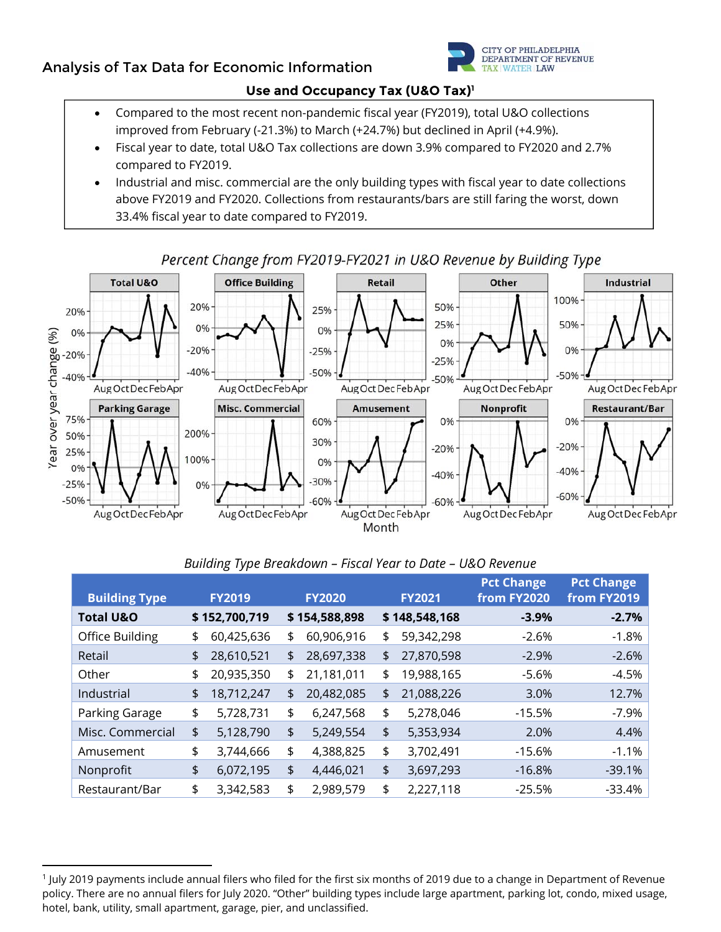## **Analysis of Tax Data for Economic Information**



### **Use and Occupancy Tax (U&O Tax)1**

- Compared to the most recent non-pandemic fiscal year (FY2019), total U&O collections improved from February (-21.3%) to March (+24.7%) but declined in April (+4.9%).
- Fiscal year to date, total U&O Tax collections are down 3.9% compared to FY2020 and 2.7% compared to FY2019.
- Industrial and misc. commercial are the only building types with fiscal year to date collections above FY2019 and FY2020. Collections from restaurants/bars are still faring the worst, down 33.4% fiscal year to date compared to FY2019.



## *Building Type Breakdown – Fiscal Year to Date – U&O Revenue*

| <b>Building Type</b> | <b>FY2019</b>    | <b>FY2020</b>    | <b>FY2021</b>    | <b>Pct Change</b><br>from FY2020 | <b>Pct Change</b><br>from FY2019 |
|----------------------|------------------|------------------|------------------|----------------------------------|----------------------------------|
| <b>Total U&amp;O</b> | \$152,700,719    | \$154,588,898    | \$148,548,168    | $-3.9%$                          | $-2.7%$                          |
| Office Building      | \$<br>60,425,636 | \$<br>60,906,916 | \$<br>59,342,298 | $-2.6%$                          | $-1.8%$                          |
| Retail               | \$<br>28,610,521 | \$<br>28,697,338 | \$<br>27,870,598 | $-2.9%$                          | $-2.6%$                          |
| Other                | \$<br>20,935,350 | \$<br>21,181,011 | \$<br>19,988,165 | $-5.6%$                          | $-4.5%$                          |
| Industrial           | \$<br>18,712,247 | \$<br>20,482,085 | \$<br>21,088,226 | 3.0%                             | 12.7%                            |
| Parking Garage       | \$<br>5,728,731  | \$<br>6,247,568  | \$<br>5,278,046  | $-15.5%$                         | $-7.9%$                          |
| Misc. Commercial     | \$<br>5,128,790  | \$<br>5,249,554  | \$<br>5,353,934  | 2.0%                             | 4.4%                             |
| Amusement            | \$<br>3,744,666  | \$<br>4,388,825  | \$<br>3,702,491  | $-15.6%$                         | $-1.1%$                          |
| Nonprofit            | \$<br>6,072,195  | \$<br>4,446,021  | \$<br>3,697,293  | $-16.8%$                         | $-39.1%$                         |
| Restaurant/Bar       | \$<br>3,342,583  | \$<br>2,989,579  | \$<br>2,227,118  | $-25.5%$                         | $-33.4%$                         |

<sup>1</sup> July 2019 payments include annual filers who filed for the first six months of 2019 due to a change in Department of Revenue policy. There are no annual filers for July 2020. "Other" building types include large apartment, parking lot, condo, mixed usage, hotel, bank, utility, small apartment, garage, pier, and unclassified.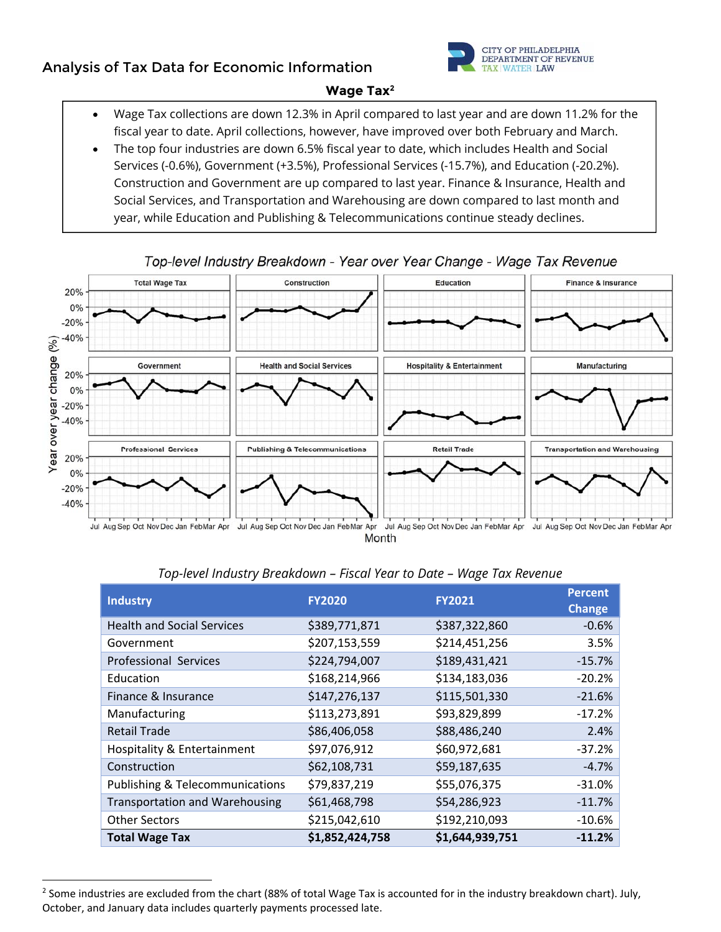## **Analysis of Tax Data for Economic Information**



### **Wage Tax2**

- Wage Tax collections are down 12.3% in April compared to last year and are down 11.2% for the fiscal year to date. April collections, however, have improved over both February and March.
- The top four industries are down 6.5% fiscal year to date, which includes Health and Social Services (-0.6%), Government (+3.5%), Professional Services (-15.7%), and Education (-20.2%). Construction and Government are up compared to last year. Finance & Insurance, Health and Social Services, and Transportation and Warehousing are down compared to last month and year, while Education and Publishing & Telecommunications continue steady declines.



### Top-level Industry Breakdown - Year over Year Change - Wage Tax Revenue

| <b>Industry</b>                            | <b>FY2020</b>   | <b>FY2021</b>   | <b>Percent</b><br><b>Change</b> |
|--------------------------------------------|-----------------|-----------------|---------------------------------|
| <b>Health and Social Services</b>          | \$389,771,871   | \$387,322,860   | $-0.6%$                         |
| Government                                 | \$207,153,559   | \$214,451,256   | 3.5%                            |
| Professional Services                      | \$224,794,007   | \$189,431,421   | $-15.7%$                        |
| Education                                  | \$168,214,966   | \$134,183,036   | $-20.2%$                        |
| Finance & Insurance                        | \$147,276,137   | \$115,501,330   | $-21.6%$                        |
| Manufacturing                              | \$113,273,891   | \$93,829,899    | $-17.2%$                        |
| <b>Retail Trade</b>                        | \$86,406,058    | \$88,486,240    | 2.4%                            |
| Hospitality & Entertainment                | \$97,076,912    | \$60,972,681    | $-37.2%$                        |
| Construction                               | \$62,108,731    | \$59,187,635    | $-4.7%$                         |
| <b>Publishing &amp; Telecommunications</b> | \$79,837,219    | \$55,076,375    | $-31.0%$                        |
| <b>Transportation and Warehousing</b>      | \$61,468,798    | \$54,286,923    | $-11.7%$                        |
| <b>Other Sectors</b>                       | \$215,042,610   | \$192,210,093   | $-10.6%$                        |
| <b>Total Wage Tax</b>                      | \$1,852,424,758 | \$1,644,939,751 | $-11.2%$                        |

### *Top-level Industry Breakdown – Fiscal Year to Date – Wage Tax Revenue*

  $2$  Some industries are excluded from the chart (88% of total Wage Tax is accounted for in the industry breakdown chart). July, October, and January data includes quarterly payments processed late.